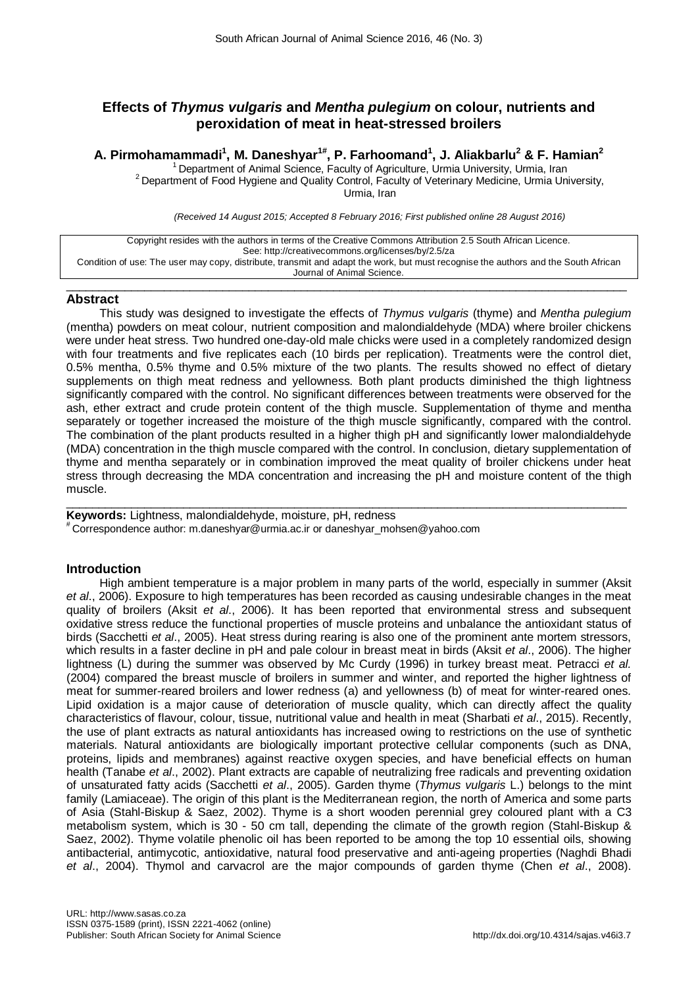# **Effects of** *Thymus vulgaris* **and** *Mentha pulegium* **on colour, nutrients and [peroxidation](http://scholar.google.com/scholar?q=malondialdehyde&hl=en&as_sdt=0&as_vis=1&oi=scholart&sa=X&ei=pGLEU9HkCejY4QSP54HYBw&ved=0CB0QgQMwAA) of meat in heat-stressed broilers**

# **A. Pirmohamammadi1 , M. Daneshyar1# , P. Farhoomand1 , J. Aliakbarlu2 & F. Hamian2**

<sup>1</sup> Department of Animal Science, Faculty of Agriculture, Urmia University, Urmia, Iran <sup>2</sup> Department of Food Hygiene and Quality Control, Faculty of Veterinary Medicine, Urmia University, Urmia, Iran

*(Received 14 August 2015; Accepted 8 February 2016; First published online 28 August 2016)*

| Copyright resides with the authors in terms of the Creative Commons Attribution 2.5 South African Licence.                         |
|------------------------------------------------------------------------------------------------------------------------------------|
|                                                                                                                                    |
| See: http://creativecommons.org/licenses/by/2.5/za                                                                                 |
|                                                                                                                                    |
|                                                                                                                                    |
| Condition of use: The user may copy, distribute, transmit and adapt the work, but must recognise the authors and the South African |
|                                                                                                                                    |
| Journal of Animal Science.                                                                                                         |
|                                                                                                                                    |

 $\_$  ,  $\_$  ,  $\_$  ,  $\_$  ,  $\_$  ,  $\_$  ,  $\_$  ,  $\_$  ,  $\_$  ,  $\_$  ,  $\_$  ,  $\_$  ,  $\_$  ,  $\_$  ,  $\_$  ,  $\_$  ,  $\_$  ,  $\_$  ,  $\_$  ,  $\_$  ,  $\_$  ,  $\_$  ,  $\_$  ,  $\_$  ,  $\_$  ,  $\_$  ,  $\_$  ,  $\_$  ,  $\_$  ,  $\_$  ,  $\_$  ,  $\_$  ,  $\_$  ,  $\_$  ,  $\_$  ,  $\_$  ,  $\_$  ,

## **Abstract**

This study was designed to investigate the effects of *Thymus vulgaris* (thyme) and *Mentha pulegium* (mentha) powders on meat colour, nutrient composition and [malondialdehyde](http://scholar.google.com/scholar?q=malondialdehyde&hl=en&as_sdt=0&as_vis=1&oi=scholart&sa=X&ei=pGLEU9HkCejY4QSP54HYBw&ved=0CB0QgQMwAA) (MDA) where broiler chickens were under heat stress. Two hundred one-day-old male chicks were used in a completely randomized design with four treatments and five replicates each (10 birds per replication). Treatments were the control diet, 0.5% mentha, 0.5% thyme and 0.5% mixture of the two plants. The results showed no effect of dietary supplements on thigh meat redness and vellowness. Both plant products diminished the thigh lightness significantly compared with the control. No significant differences between treatments were observed for the ash, ether extract and crude protein content of the thigh muscle. Supplementation of thyme and mentha separately or together increased the moisture of the thigh muscle significantly, compared with the control. The combination of the plant products resulted in a higher thigh pH and significantly lower malondialdehyde (MDA) concentration in the thigh muscle compared with the control. In conclusion, dietary supplementation of thyme and mentha separately or in combination improved the meat quality of broiler chickens under heat stress through decreasing the MDA concentration and increasing the pH and moisture content of the thigh muscle.

 $\_$  , and the set of the set of the set of the set of the set of the set of the set of the set of the set of the set of the set of the set of the set of the set of the set of the set of the set of the set of the set of th **Keywords:** Lightness, malondialdehyde, moisture, pH, redness<br># Correspondence author: [m.daneshyar@urmia.ac.ir](mailto:m.daneshyar@urmia.ac.ir) or daneshyar\_mohsen@yahoo.com

# **Introduction**

High ambient temperature is a major problem in many parts of the world, especially in summer (Aksit *et al*., 2006). Exposure to high temperatures has been recorded as causing undesirable changes in the meat quality of broilers (Aksit *et al*., 2006). It has been reported that environmental stress and subsequent oxidative stress reduce the functional properties of muscle proteins and unbalance the antioxidant status of birds (Sacchetti *et al*., 2005). Heat stress during rearing is also one of the prominent ante mortem stressors, which results in a faster decline in pH and pale colour in breast meat in birds (Aksit *et al*., 2006). The higher lightness (L) during the summer was observed by Mc Curdy (1996) in turkey breast meat. Petracci *et al.* (2004) compared the breast muscle of broilers in summer and winter, and reported the higher lightness of meat for summer-reared broilers and lower redness (a) and yellowness (b) of meat for winter-reared ones. Lipid oxidation is a major cause of deterioration of muscle quality, which can directly affect the quality characteristics of flavour, colour, tissue, nutritional value and health in meat (Sharbati *et al*., 2015). Recently, the use of plant extracts as natural antioxidants has increased owing to restrictions on the use of synthetic materials. Natural antioxidants are biologically important protective cellular components (such as DNA, proteins, lipids and membranes) against reactive oxygen species, and have beneficial effects on human health (Tanabe *et al*., 2002). Plant extracts are capable of neutralizing free radicals and preventing oxidation of unsaturated fatty acids (Sacchetti *et al*., 2005). Garden thyme (*Thymus vulgaris* L.) belongs to the mint family (Lamiaceae). The origin of this plant is the Mediterranean region, the north of America and some parts of Asia (Stahl-Biskup & Saez, 2002). Thyme is a short wooden perennial grey coloured plant with a C3 metabolism system, which is 30 - 50 cm tall, depending the climate of the growth region (Stahl-Biskup & Saez, 2002). Thyme volatile phenolic oil has been reported to be among the top 10 essential oils, showing antibacterial, antimycotic, antioxidative, natural food preservative and anti-ageing properties (Naghdi Bhadi *et al*., 2004). Thymol and carvacrol are the major compounds of garden thyme (Chen *et al*., 2008).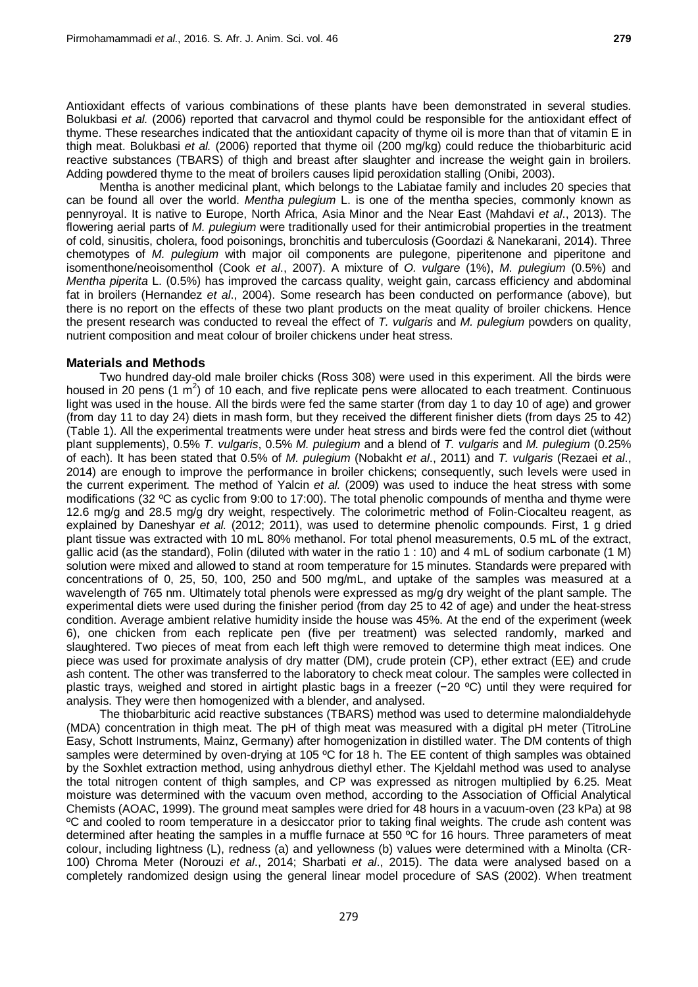Antioxidant effects of various combinations of these plants have been demonstrated in several studies. Bolukbasi *et al.* (2006) reported that carvacrol and thymol could be responsible for the antioxidant effect of thyme. These researches indicated that the antioxidant capacity of thyme oil is more than that of vitamin E in thigh meat. Bolukbasi *et al.* (2006) reported that thyme oil (200 mg/kg) could reduce the thiobarbituric acid reactive substances (TBARS) of thigh and breast after slaughter and increase the weight gain in broilers. Adding powdered thyme to the meat of broilers causes lipid peroxidation stalling (Onibi, 2003).

Mentha is another medicinal plant, which belongs to the Labiatae family and includes 20 species that can be found all over the world. *Mentha pulegium* L. is one of the mentha species, commonly known as pennyroyal. It is native to Europe, North Africa, Asia Minor and the Near East (Mahdavi *et al*., 2013). The flowering aerial parts of *M. pulegium* were traditionally used for their antimicrobial properties in the treatment of cold, sinusitis, cholera, food poisonings, bronchitis and tuberculosis (Goordazi & Nanekarani, 2014). Three chemotypes of *M. pulegium* with major oil components are pulegone, piperitenone and piperitone and isomenthone/neoisomenthol (Cook *et al*., 2007). A mixture of *O. vulgare* (1%), *M. pulegium* (0.5%) and *Mentha piperita* L. (0.5%) has improved the carcass quality, weight gain, carcass efficiency and abdominal fat in broilers (Hernandez *et al*., 2004). Some research has been conducted on performance (above), but there is no report on the effects of these two plant products on the meat quality of broiler chickens. Hence the present research was conducted to reveal the effect of *T. vulgaris* and *M. pulegium* powders on quality, nutrient composition and meat colour of broiler chickens under heat stress.

## **Materials and Methods**

Two hundred day-old male broiler chicks (Ross 308) were used in this experiment. All the birds were housed in 20 pens (1  $\text{m}^2$ ) of 10 each, and five replicate pens were allocated to each treatment. Continuous light was used in the house. All the birds were fed the same starter (from day 1 to day 10 of age) and grower (from day 11 to day 24) diets in mash form, but they received the different finisher diets (from days 25 to 42) (Table 1). All the experimental treatments were under heat stress and birds were fed the control diet (without plant supplements), 0.5% *T. vulgaris*, 0.5% *M. pulegium* and a blend of *T. vulgaris* and *M. pulegium* (0.25% of each). It has been stated that 0.5% of *M. pulegium* (Nobakht *et al*., 2011) and *T. vulgaris* (Rezaei *et al*., 2014) are enough to improve the performance in broiler chickens; consequently, such levels were used in the current experiment. The method of Yalcin *et al.* (2009) was used to induce the heat stress with some modifications (32 ºC as cyclic from 9:00 to 17:00). The total phenolic compounds of mentha and thyme were 12.6 mg/g and 28.5 mg/g dry weight, respectively. The colorimetric method of Folin-Ciocalteu reagent, as explained by Daneshyar *et al.* (2012; 2011), was used to determine phenolic compounds. First, 1 g dried plant tissue was extracted with 10 mL 80% methanol. For total phenol measurements, 0.5 mL of the extract, gallic acid (as the standard), Folin (diluted with water in the ratio 1 : 10) and 4 mL of sodium carbonate (1 M) solution were mixed and allowed to stand at room temperature for 15 minutes. Standards were prepared with concentrations of 0, 25, 50, 100, 250 and 500 mg/mL, and uptake of the samples was measured at a wavelength of 765 nm. Ultimately total phenols were expressed as mg/g dry weight of the plant sample. The experimental diets were used during the finisher period (from day 25 to 42 of age) and under the heat-stress condition. Average ambient relative humidity inside the house was 45%. At the end of the experiment (week 6), one chicken from each replicate pen (five per treatment) was selected randomly, marked and slaughtered. Two pieces of meat from each left thigh were removed to determine thigh meat indices. One piece was used for proximate analysis of dry matter (DM), crude protein (CP), ether extract (EE) and crude ash content. The other was transferred to the laboratory to check meat colour. The samples were collected in plastic trays, weighed and stored in airtight plastic bags in a freezer (−20 ºC) until they were required for analysis. They were then homogenized with a blender, and analysed.

The thiobarbituric acid reactive substances (TBARS) method was used to determine [malondialdehyde](http://scholar.google.com/scholar?q=malondialdehyde&hl=en&as_sdt=0&as_vis=1&oi=scholart&sa=X&ei=pGLEU9HkCejY4QSP54HYBw&ved=0CB0QgQMwAA) (MDA) concentration in thigh meat. The pH of thigh meat was measured with a digital pH meter (TitroLine Easy, Schott Instruments, Mainz, Germany) after homogenization in distilled water. The DM contents of thigh samples were determined by oven-drying at 105 °C for 18 h. The EE content of thigh samples was obtained by the Soxhlet extraction method, using anhydrous diethyl ether. The Kjeldahl method was used to analyse the total nitrogen content of thigh samples, and CP was expressed as nitrogen multiplied by 6.25. Meat moisture was determined with the vacuum oven method, according to the Association of Official Analytical Chemists (AOAC, 1999). The ground meat samples were dried for 48 hours in a vacuum-oven (23 kPa) at 98 ºC and cooled to room temperature in a desiccator prior to taking final weights. The crude ash content was determined after heating the samples in a muffle furnace at 550 ºC for 16 hours. Three parameters of meat colour, including lightness (L), redness (a) and yellowness (b) values were determined with a Minolta (CR-100) Chroma Meter (Norouzi *et al*., 2014; Sharbati *et al*., 2015). The data were analysed based on a completely randomized design using the general linear model procedure of SAS (2002). When treatment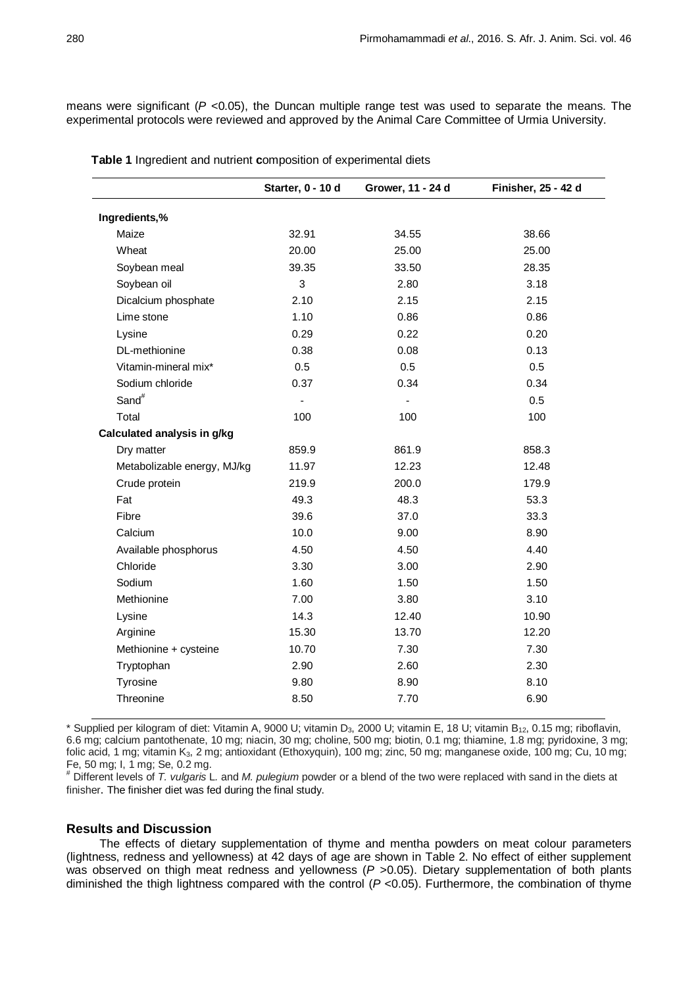means were significant (*P* <0.05), the Duncan multiple range test was used to separate the means. The experimental protocols were reviewed and approved by the Animal Care Committee of Urmia University.

|                             | Starter, 0 - 10 d | Grower, 11 - 24 d | Finisher, 25 - 42 d |
|-----------------------------|-------------------|-------------------|---------------------|
| Ingredients,%               |                   |                   |                     |
| Maize                       | 32.91             | 34.55             | 38.66               |
| Wheat                       | 20.00             | 25.00             | 25.00               |
| Soybean meal                | 39.35             | 33.50             | 28.35               |
| Soybean oil                 | 3                 | 2.80              | 3.18                |
| Dicalcium phosphate         | 2.10              | 2.15              | 2.15                |
| Lime stone                  | 1.10              | 0.86              | 0.86                |
| Lysine                      | 0.29              | 0.22              | 0.20                |
| DL-methionine               | 0.38              | 0.08              | 0.13                |
| Vitamin-mineral mix*        | 0.5               | 0.5               | 0.5                 |
| Sodium chloride             | 0.37              | 0.34              | 0.34                |
| Sand <sup>#</sup>           | $\blacksquare$    | $\mathbf{r}$      | 0.5                 |
| Total                       | 100               | 100               | 100                 |
| Calculated analysis in g/kg |                   |                   |                     |
| Dry matter                  | 859.9             | 861.9             | 858.3               |
| Metabolizable energy, MJ/kg | 11.97             | 12.23             | 12.48               |
| Crude protein               | 219.9             | 200.0             | 179.9               |
| Fat                         | 49.3              | 48.3              | 53.3                |
| Fibre                       | 39.6              | 37.0              | 33.3                |
| Calcium                     | 10.0              | 9.00              | 8.90                |
| Available phosphorus        | 4.50              | 4.50              | 4.40                |
| Chloride                    | 3.30              | 3.00              | 2.90                |
| Sodium                      | 1.60              | 1.50              | 1.50                |
| Methionine                  | 7.00              | 3.80              | 3.10                |
| Lysine                      | 14.3              | 12.40             | 10.90               |
| Arginine                    | 15.30             | 13.70             | 12.20               |
| Methionine + cysteine       | 10.70             | 7.30              | 7.30                |
| Tryptophan                  | 2.90              | 2.60              | 2.30                |
| Tyrosine                    | 9.80              | 8.90              | 8.10                |
| Threonine                   | 8.50              | 7.70              | 6.90                |

**Table 1** Ingredient and nutrient **c**omposition of experimental diets

\* Supplied per kilogram of diet: Vitamin A, 9000 U; vitamin D<sub>3</sub>, 2000 U; vitamin E, 18 U; vitamin B<sub>12</sub>, 0.15 mg; riboflavin, 6.6 mg; calcium pantothenate, 10 mg; niacin, 30 mg; choline, 500 mg; biotin, 0.1 mg; thiamine, 1.8 mg; pyridoxine, 3 mg; folic acid, 1 mg; vitamin K<sub>3</sub>, 2 mg; antioxidant (Ethoxyquin), 100 mg; zinc, 50 mg; manganese oxide, 100 mg; Cu, 10 mg;<br>Fe, 50 mg; I, 1 mg; Se, 0.2 mg.

Fe, 50 mg; I, 1 mg; Se, 0.2 mg. # Different levels of *T. vulgaris* L*.* and *M. pulegium* powder or a blend of the two were replaced with sand in the diets at finisher. The finisher diet was fed during the final study.

## **Results and Discussion**

The effects of dietary supplementation of thyme and mentha powders on meat colour parameters (lightness, redness and yellowness) at 42 days of age are shown in Table 2. No effect of either supplement was observed on thigh meat redness and yellowness (P > 0.05). Dietary supplementation of both plants diminished the thigh lightness compared with the control (*P* <0.05). Furthermore, the combination of thyme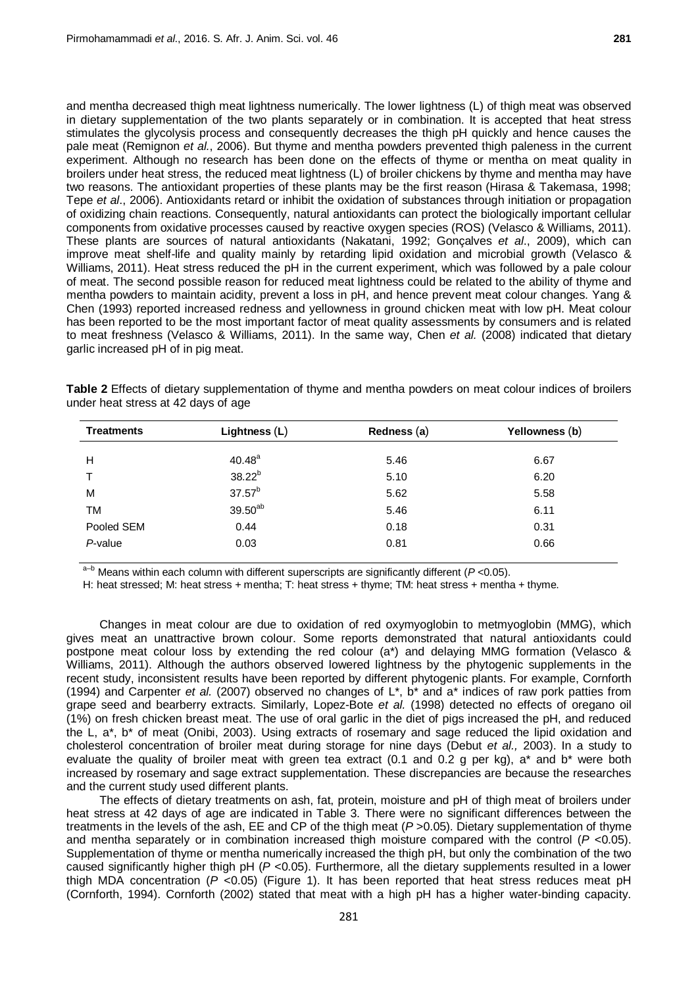and mentha decreased thigh meat lightness numerically. The lower lightness (L) of thigh meat was observed in dietary supplementation of the two plants separately or in combination. It is accepted that heat stress stimulates the glycolysis process and consequently decreases the thigh pH quickly and hence causes the pale meat (Remignon *et al.*, 2006). But thyme and mentha powders prevented thigh paleness in the current experiment. Although no research has been done on the effects of thyme or mentha on meat quality in broilers under heat stress, the reduced meat lightness (L) of broiler chickens by thyme and mentha may have two reasons. The antioxidant properties of these plants may be the first reason (Hirasa & Takemasa, 1998; Tepe *et al*., 2006). Antioxidants retard or inhibit the oxidation of substances through initiation or propagation of oxidizing chain reactions. Consequently, natural antioxidants can protect the biologically important cellular components from oxidative processes caused by reactive oxygen species (ROS) (Velasco & Williams, 2011). These plants are sources of natural antioxidants (Nakatani, 1992; Gonçalves *et al*., 2009), which can improve meat shelf-life and quality mainly by retarding lipid oxidation and microbial growth (Velasco & Williams, 2011). Heat stress reduced the pH in the current experiment, which was followed by a pale colour of meat. The second possible reason for reduced meat lightness could be related to the ability of thyme and mentha powders to maintain acidity, prevent a loss in pH, and hence prevent meat colour changes. Yang & Chen (1993) reported increased redness and yellowness in ground chicken meat with low pH. Meat colour has been reported to be the most important factor of meat quality assessments by consumers and is related to meat freshness (Velasco & Williams, 2011). In the same way, Chen *et al.* (2008) indicated that dietary garlic increased pH of in pig meat.

**Table 2** Effects of dietary supplementation of thyme and mentha powders on meat colour indices of broilers under heat stress at 42 days of age

| Lightness $(L)$     | Redness (a)                | Yellowness (b) |  |
|---------------------|----------------------------|----------------|--|
|                     |                            | 6.67           |  |
|                     |                            | 6.20           |  |
| $37.57^{b}$         | 5.62                       | 5.58           |  |
| 39.50 <sup>ab</sup> | 5.46                       | 6.11           |  |
| 0.44                | 0.18                       | 0.31           |  |
| 0.03                | 0.81                       | 0.66           |  |
|                     | $40.48^{a}$<br>$38.22^{b}$ | 5.46<br>5.10   |  |

a–b Means within each column with different superscripts are significantly different (*P* <0.05).

H: heat stressed; M: heat stress + mentha; T: heat stress + thyme; TM: heat stress + mentha + thyme.

Changes in meat colour are due to oxidation of red oxymyoglobin to metmyoglobin (MMG), which gives meat an unattractive brown colour. Some reports demonstrated that natural antioxidants could postpone meat colour loss by extending the red colour (a\*) and delaying MMG formation (Velasco & Williams, 2011). Although the authors observed lowered lightness by the phytogenic supplements in the recent study, inconsistent results have been reported by different phytogenic plants. For example, Cornforth (1994) and Carpenter *et al.* (2007) observed no changes of L\*, b\* and a\* indices of raw pork patties from grape seed and bearberry extracts. Similarly, Lopez-Bote *et al.* (1998) detected no effects of oregano oil (1%) on fresh chicken breast meat. The use of oral garlic in the diet of pigs increased the pH, and reduced the L, a\*, b\* of meat (Onibi, 2003). Using extracts of rosemary and sage reduced the lipid oxidation and cholesterol concentration of broiler meat during storage for nine days (Debut *et al.,* 2003). In a study to evaluate the quality of broiler meat with green tea extract (0.1 and 0.2 g per kg), a\* and b\* were both increased by rosemary and sage extract supplementation. These discrepancies are because the researches and the current study used different plants.

The effects of dietary treatments on ash, fat, protein, moisture and pH of thigh meat of broilers under heat stress at 42 days of age are indicated in Table 3. There were no significant differences between the treatments in the levels of the ash, EE and CP of the thigh meat (*P* >0.05). Dietary supplementation of thyme and mentha separately or in combination increased thigh moisture compared with the control (*P* <0.05). Supplementation of thyme or mentha numerically increased the thigh pH, but only the combination of the two caused significantly higher thigh pH (*P* <0.05). Furthermore, all the dietary supplements resulted in a lower thigh MDA concentration (*P* <0.05) (Figure 1). It has been reported that heat stress reduces meat pH (Cornforth, 1994). Cornforth (2002) stated that meat with a high pH has a higher water-binding capacity.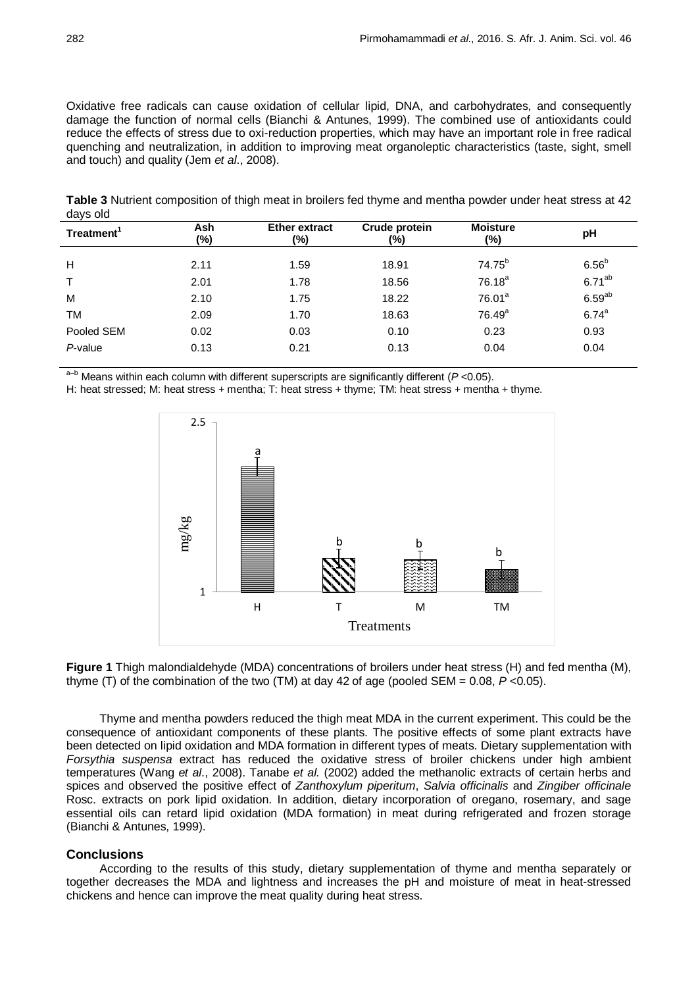Oxidative free radicals can cause oxidation of cellular lipid, DNA, and carbohydrates, and consequently damage the function of normal cells (Bianchi & Antunes, 1999). The combined use of antioxidants could reduce the effects of stress due to oxi-reduction properties, which may have an important role in free radical quenching and neutralization, in addition to improving meat organoleptic characteristics [\(taste,](https://en.wikipedia.org/wiki/Taste) [sight,](https://en.wikipedia.org/wiki/Visual_perception) smell and touch) and quality (Jem *et al*., 2008).

**Table 3** Nutrient composition of thigh meat in broilers fed thyme and mentha powder under heat stress at 42 days old

| Treatment <sup>1</sup> | Ash<br>(%) | <b>Ether extract</b><br>$(\%)$ | Crude protein<br>(%) | <b>Moisture</b><br>(%) | pH                |
|------------------------|------------|--------------------------------|----------------------|------------------------|-------------------|
| Н                      | 2.11       | 1.59                           | 18.91                | 74.75 <sup>b</sup>     | 6.56 <sup>b</sup> |
|                        | 2.01       | 1.78                           | 18.56                | $76.18^{a}$            | $6.71^{ab}$       |
| M                      | 2.10       | 1.75                           | 18.22                | 76.01 <sup>a</sup>     | $6.59^{ab}$       |
| <b>TM</b>              | 2.09       | 1.70                           | 18.63                | 76.49 <sup>a</sup>     | $6.74^{a}$        |
| Pooled SEM             | 0.02       | 0.03                           | 0.10                 | 0.23                   | 0.93              |
| $P$ -value             | 0.13       | 0.21                           | 0.13                 | 0.04                   | 0.04              |
|                        |            |                                |                      |                        |                   |

a–b Means within each column with different superscripts are significantly different (*P* <0.05).

H: heat stressed; M: heat stress + mentha; T: heat stress + thyme; TM: heat stress + mentha + thyme.





Thyme and mentha powders reduced the thigh meat MDA in the current experiment. This could be the consequence of antioxidant components of these plants. The positive effects of some plant extracts have been detected on lipid oxidation and MDA formation in different types of meats. Dietary supplementation with *Forsythia suspensa* extract has reduced the oxidative stress of broiler chickens under high ambient temperatures (Wang *et al*., 2008). Tanabe *et al.* (2002) added the methanolic extracts of certain herbs and spices and observed the positive effect of *Zanthoxylum piperitum*, *Salvia officinalis* and *Zingiber officinale* Rosc. extracts on pork lipid oxidation. In addition, dietary incorporation of oregano, rosemary, and sage essential oils can retard lipid oxidation (MDA formation) in meat during refrigerated and frozen storage (Bianchi & Antunes, 1999).

### **Conclusions**

According to the results of this study, dietary supplementation of thyme and mentha separately or together decreases the MDA and lightness and increases the pH and moisture of meat in heat-stressed chickens and hence can improve the meat quality during heat stress.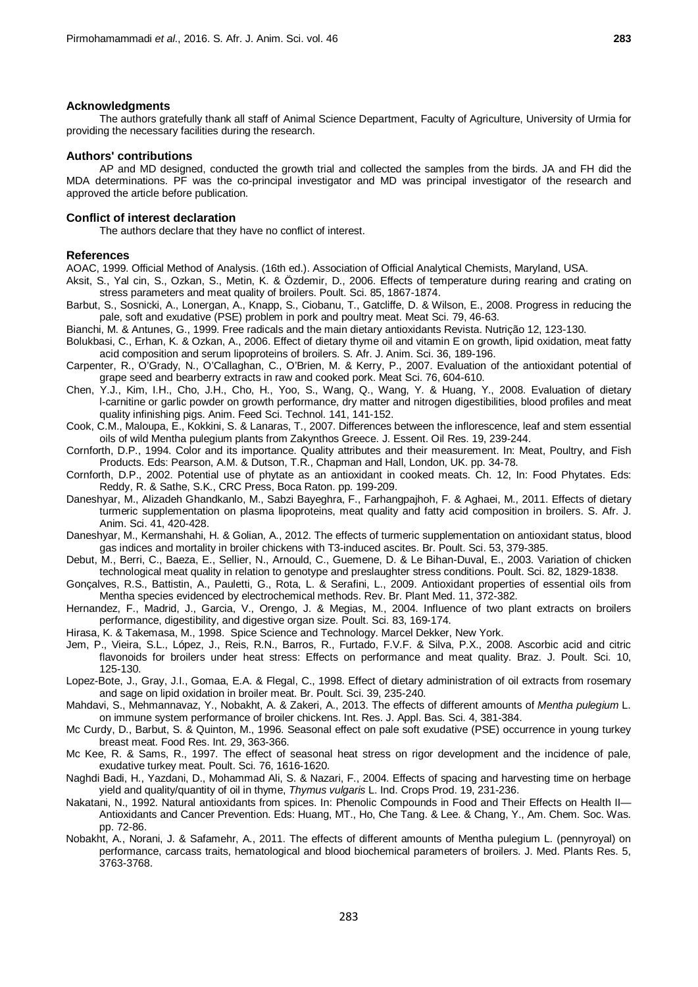#### **Acknowledgments**

The authors gratefully thank all staff of Animal Science Department, Faculty of Agriculture, University of Urmia for providing the necessary facilities during the research.

#### **Authors' contributions**

AP and MD designed, conducted the growth trial and collected the samples from the birds. JA and FH did the MDA determinations. PF was the co-principal investigator and MD was principal investigator of the research and approved the article before publication.

#### **Conflict of interest declaration**

The authors declare that they have no conflict of interest.

## **References**

AOAC, 1999. Official Method of Analysis. (16th ed.). Association of Official Analytical Chemists, Maryland, USA.

- Aksit, S., Yal cin, S., Ozkan, S., Metin, K. & Özdemir, D., 2006. Effects of temperature during rearing and crating on stress parameters and meat quality of broilers. Poult. Sci. 85, 1867-1874.
- Barbut, S., Sosnicki, A., Lonergan, A., Knapp, S., Ciobanu, T., Gatcliffe, D. & Wilson, E., 2008. Progress in reducing the pale, soft and exudative (PSE) problem in pork and poultry meat. Meat Sci. 79, 46-63.
- Bianchi, M. & Antunes, G., 1999. Free radicals and the main dietary antioxidants Revista. Nutrição 12, 123-130.
- Bolukbasi, C., Erhan, K. & Ozkan, A., 2006. Effect of dietary thyme oil and vitamin E on growth, lipid oxidation, meat fatty acid composition and serum lipoproteins of broilers. S. Afr. J. Anim. Sci. 36, 189-196.
- Carpenter, R., O'Grady, N., O'Callaghan, C., O'Brien, M. & Kerry, P., 2007. Evaluation of the antioxidant potential of grape seed and bearberry extracts in raw and cooked pork. Meat Sci. 76, 604-610.
- Chen, Y.J., Kim, I.H., Cho, J.H., Cho, H., Yoo, S., Wang, Q., Wang, Y. & Huang, Y., 2008. Evaluation of dietary l-carnitine or garlic powder on growth performance, dry matter and nitrogen digestibilities, blood profiles and meat quality infinishing pigs. Anim. Feed Sci. Technol. 141, 141-152.
- Cook, C.M., Maloupa, E., Kokkini, S. & Lanaras, T., 2007. Differences between the inflorescence, leaf and stem essential oils of wild Mentha pulegium plants from Zakynthos Greece. J. Essent. Oil Res. 19, 239-244.
- Cornforth, D.P., 1994. Color and its importance. Quality attributes and their measurement. In: Meat, Poultry, and Fish Products. Eds: Pearson, A.M. & Dutson, T.R., Chapman and Hall, London, UK. pp. 34-78.
- Cornforth, D.P., 2002. Potential use of phytate as an antioxidant in cooked meats. Ch. 12, In: Food Phytates. Eds: Reddy, R. & Sathe, S.K., CRC Press, Boca Raton. pp. 199-209.
- Daneshyar, M., Alizadeh Ghandkanlo, M., Sabzi Bayeghra, F., Farhangpajhoh, F. & Aghaei, M., 2011. Effects of dietary turmeric supplementation on plasma lipoproteins, meat quality and fatty acid composition in broilers. S. Afr. J. Anim. Sci. 41, 420-428.
- Daneshyar, M., Kermanshahi, H. & Golian, A., 2012. The effects of turmeric supplementation on antioxidant status, blood gas indices and mortality in broiler chickens with T3-induced ascites. Br. Poult. Sci. 53, 379-385.
- Debut, M., Berri, C., Baeza, E., Sellier, N., Arnould, C., Guemene, D. & Le Bihan-Duval, E., 2003. Variation of chicken technological meat quality in relation to genotype and preslaughter stress conditions. Poult. Sci. 82, 1829-1838.
- Gonçalves, R.S., Battistin, A., Pauletti, G., Rota, L. & Serafini, L., 2009. Antioxidant properties of essential oils from Mentha species evidenced by electrochemical methods. Rev. Br. Plant Med. 11, 372-382.
- Hernandez, F., Madrid, J., Garcia, V., Orengo, J. & Megias, M., 2004. Influence of two plant extracts on broilers performance, digestibility, and digestive organ size. Poult. Sci. 83, 169-174.
- Hirasa, K. & Takemasa, M., 1998. Spice Science and Technology. Marcel Dekker, New York.
- Jem, P., Vieira, S.L., López, J., Reis, R.N., Barros, R., Furtado, F.V.F. & Silva, P.X., 2008. Ascorbic acid and citric flavonoids for broilers under heat stress: Effects on performance and meat quality. Braz. J. Poult. Sci. 10, 125-130.
- Lopez-Bote, J., Gray, J.I., Gomaa, E.A. & Flegal, C., 1998. Effect of dietary administration of oil extracts from rosemary and sage on lipid oxidation in broiler meat. Br. [Poult.](http://www.google.com/url?sa=t&rct=j&q=br.%20poult.%20sci.%20&source=web&cd=2&cad=rja&ved=0CC0QFjAB&url=http%3A%2F%2Fwww.researchgate.net%2Fjournal%2F1466-1799_British_Poultry_Science&ei=KeDuUeDtBcbNswbh8oGICQ&usg=AFQjCNFVFOfF5SCvUFxv9rkzs4B1ML87Jw&bvm=bv.49641647,d.Yms) Sci. 39, 235-240.
- Mahdavi, S., Mehmannavaz, Y., Nobakht, A. & Zakeri, A., 2013. The effects of different amounts of *Mentha pulegium* L. on immune system performance of broiler chickens. Int. Res. J. Appl. Bas. Sci. 4, 381-384.
- Mc Curdy, D., Barbut, S. & Quinton, M., 1996. Seasonal effect on pale soft exudative (PSE) occurrence in young turkey breast meat. Food Res. Int. 29, 363-366.
- Mc Kee, R. & Sams, R., 1997. The effect of seasonal heat stress on rigor development and the incidence of pale, exudative turkey meat. Poult. Sci. 76, 1616-1620.
- [Naghdi Badi,](https://www.infona.pl/contributor/0@bwmeta1.element.elsevier-e0231b3f-4f71-3e7d-bc08-bc304793e7c1/tab/publications) H., [Yazdani,](https://www.infona.pl/contributor/1@bwmeta1.element.elsevier-e0231b3f-4f71-3e7d-bc08-bc304793e7c1/tab/publications) D., [Mohammad Ali,](https://www.infona.pl/contributor/2@bwmeta1.element.elsevier-e0231b3f-4f71-3e7d-bc08-bc304793e7c1/tab/publications) S. & [Nazari,](https://www.infona.pl/contributor/3@bwmeta1.element.elsevier-e0231b3f-4f71-3e7d-bc08-bc304793e7c1/tab/publications) F., 2004. Effects of spacing and harvesting time on herbage yield and quality/quantity of oil in thyme, *Thymus vulgaris* L. [Ind. Crops](https://www.infona.pl/resource/bwmeta1.element.elsevier-8fd85cad-af78-3a52-a586-3bd3ae1a8c2a/tab/jContent) Prod[. 19,](https://www.infona.pl/resource/bwmeta1.element.elsevier-8fd85cad-af78-3a52-a586-3bd3ae1a8c2a/tab/jContent/facet?field=%5ejournalYear%5ejournalVolume&value=%5e_02004%5e_00019) 231-236.
- Nakatani, N., 1992. Natural antioxidants from spices. In: Phenolic Compounds in Food and Their Effects on Health II— Antioxidants and Cancer Prevention. Eds: Huang, MT., Ho, Che Tang. & Lee. & Chang, Y., Am. Chem. Soc. Was. pp. 72-86.
- Nobakht, A., Norani, J. & Safamehr, A., 2011. The effects of different amounts of Mentha pulegium L. (pennyroyal) on performance, carcass traits, hematological and blood biochemical parameters of broilers. J. Med. Plants Res. 5, 3763-3768.